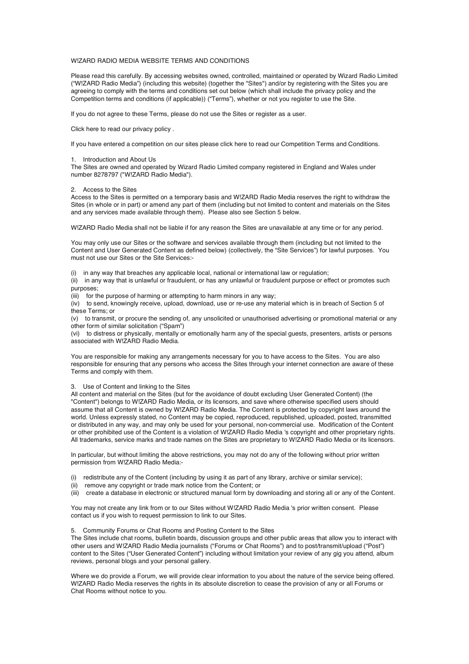### W!ZARD RADIO MEDIA WEBSITE TERMS AND CONDITIONS

Please read this carefully. By accessing websites owned, controlled, maintained or operated by Wizard Radio Limited ("W!ZARD Radio Media") (including this website) (together the "Sites") and/or by registering with the Sites you are agreeing to comply with the terms and conditions set out below (which shall include the privacy policy and the Competition terms and conditions (if applicable)) ("Terms"), whether or not you register to use the Site.

If you do not agree to these Terms, please do not use the Sites or register as a user.

Click here to read our privacy policy .

If you have entered a competition on our sites please click here to read our Competition Terms and Conditions.

1. Introduction and About Us

The Sites are owned and operated by Wizard Radio Limited company registered in England and Wales under number 8278797 ("W!ZARD Radio Media").

#### 2. Access to the Sites

Access to the Sites is permitted on a temporary basis and W!ZARD Radio Media reserves the right to withdraw the Sites (in whole or in part) or amend any part of them (including but not limited to content and materials on the Sites and any services made available through them). Please also see Section 5 below.

W!ZARD Radio Media shall not be liable if for any reason the Sites are unavailable at any time or for any period.

You may only use our Sites or the software and services available through them (including but not limited to the Content and User Generated Content as defined below) (collectively, the "Site Services") for lawful purposes. You must not use our Sites or the Site Services:-

(i) in any way that breaches any applicable local, national or international law or regulation;

(ii) in any way that is unlawful or fraudulent, or has any unlawful or fraudulent purpose or effect or promotes such purposes;

(iii) for the purpose of harming or attempting to harm minors in any way;

(iv) to send, knowingly receive, upload, download, use or re-use any material which is in breach of Section 5 of these Terms; or

(v) to transmit, or procure the sending of, any unsolicited or unauthorised advertising or promotional material or any other form of similar solicitation ("Spam")

(vi) to distress or physically, mentally or emotionally harm any of the special guests, presenters, artists or persons associated with W!ZARD Radio Media.

You are responsible for making any arrangements necessary for you to have access to the Sites. You are also responsible for ensuring that any persons who access the Sites through your internet connection are aware of these Terms and comply with them.

3. Use of Content and linking to the Sites

All content and material on the Sites (but for the avoidance of doubt excluding User Generated Content) (the "Content") belongs to W!ZARD Radio Media, or its licensors, and save where otherwise specified users should assume that all Content is owned by W!ZARD Radio Media. The Content is protected by copyright laws around the world. Unless expressly stated, no Content may be copied, reproduced, republished, uploaded, posted, transmitted or distributed in any way, and may only be used for your personal, non-commercial use. Modification of the Content or other prohibited use of the Content is a violation of W!ZARD Radio Media 's copyright and other proprietary rights. All trademarks, service marks and trade names on the Sites are proprietary to W!ZARD Radio Media or its licensors.

In particular, but without limiting the above restrictions, you may not do any of the following without prior written permission from W!ZARD Radio Media:-

- (i) redistribute any of the Content (including by using it as part of any library, archive or similar service);
- (ii) remove any copyright or trade mark notice from the Content; or

(iii) create a database in electronic or structured manual form by downloading and storing all or any of the Content.

You may not create any link from or to our Sites without W!ZARD Radio Media 's prior written consent. Please contact us if you wish to request permission to link to our Sites.

5. Community Forums or Chat Rooms and Posting Content to the Sites

The Sites include chat rooms, bulletin boards, discussion groups and other public areas that allow you to interact with other users and W!ZARD Radio Media journalists ("Forums or Chat Rooms") and to post/transmit/upload ("Post") content to the Sites ("User Generated Content") including without limitation your review of any gig you attend, album reviews, personal blogs and your personal gallery.

Where we do provide a Forum, we will provide clear information to you about the nature of the service being offered. W!ZARD Radio Media reserves the rights in its absolute discretion to cease the provision of any or all Forums or Chat Rooms without notice to you.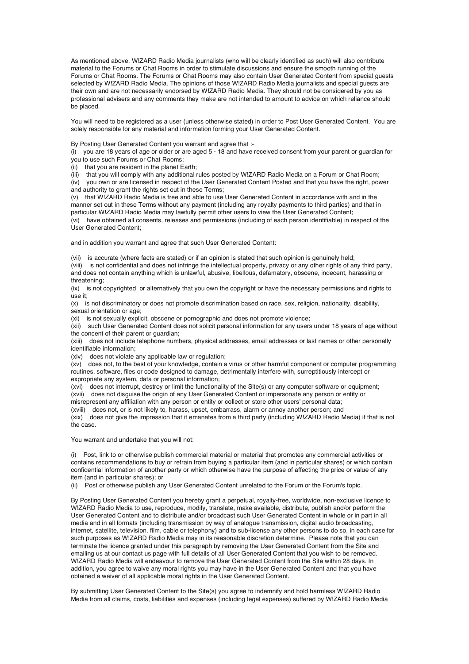As mentioned above, W!ZARD Radio Media journalists (who will be clearly identified as such) will also contribute material to the Forums or Chat Rooms in order to stimulate discussions and ensure the smooth running of the Forums or Chat Rooms. The Forums or Chat Rooms may also contain User Generated Content from special guests selected by W!ZARD Radio Media. The opinions of those W!ZARD Radio Media journalists and special guests are their own and are not necessarily endorsed by W!ZARD Radio Media. They should not be considered by you as professional advisers and any comments they make are not intended to amount to advice on which reliance should be placed.

You will need to be registered as a user (unless otherwise stated) in order to Post User Generated Content. You are solely responsible for any material and information forming your User Generated Content.

By Posting User Generated Content you warrant and agree that :-

(i) you are 18 years of age or older or are aged 5 - 18 and have received consent from your parent or guardian for you to use such Forums or Chat Rooms;

(ii) that you are resident in the planet Earth;

(iii) that you will comply with any additional rules posted by W!ZARD Radio Media on a Forum or Chat Room;

(iv) you own or are licensed in respect of the User Generated Content Posted and that you have the right, power and authority to grant the rights set out in these Terms;

(v) that W!ZARD Radio Media is free and able to use User Generated Content in accordance with and in the manner set out in these Terms without any payment (including any royalty payments to third parties) and that in particular W!ZARD Radio Media may lawfully permit other users to view the User Generated Content;

(vi) have obtained all consents, releases and permissions (including of each person identifiable) in respect of the User Generated Content;

and in addition you warrant and agree that such User Generated Content:

(vii) is accurate (where facts are stated) or if an opinion is stated that such opinion is genuinely held;

(viii) is not confidential and does not infringe the intellectual property, privacy or any other rights of any third party, and does not contain anything which is unlawful, abusive, libellous, defamatory, obscene, indecent, harassing or threatening;

(ix) is not copyrighted or alternatively that you own the copyright or have the necessary permissions and rights to use it;

(x) is not discriminatory or does not promote discrimination based on race, sex, religion, nationality, disability, sexual orientation or age;

(xi) is not sexually explicit, obscene or pornographic and does not promote violence;

(xii) such User Generated Content does not solicit personal information for any users under 18 years of age without the concent of their parent or guardian;

(xiii) does not include telephone numbers, physical addresses, email addresses or last names or other personally identifiable information;

(xiv) does not violate any applicable law or regulation;

(xv) does not, to the best of your knowledge, contain a virus or other harmful component or computer programming routines, software, files or code designed to damage, detrimentally interfere with, surreptitiously intercept or expropriate any system, data or personal information;

(xvi) does not interrupt, destroy or limit the functionality of the Site(s) or any computer software or equipment; (xvii) does not disguise the origin of any User Generated Content or impersonate any person or entity or

misrepresent any affiliation with any person or entity or collect or store other users' personal data;

(xviii) does not, or is not likely to, harass, upset, embarrass, alarm or annoy another person; and

(xix) does not give the impression that it emanates from a third party (including W!ZARD Radio Media) if that is not the case.

You warrant and undertake that you will not:

(i) Post, link to or otherwise publish commercial material or material that promotes any commercial activities or contains recommendations to buy or refrain from buying a particular item (and in particular shares) or which contain confidential information of another party or which otherwise have the purpose of affecting the price or value of any item (and in particular shares); or

(ii) Post or otherwise publish any User Generated Content unrelated to the Forum or the Forum's topic.

By Posting User Generated Content you hereby grant a perpetual, royalty-free, worldwide, non-exclusive licence to W!ZARD Radio Media to use, reproduce, modify, translate, make available, distribute, publish and/or perform the User Generated Content and to distribute and/or broadcast such User Generated Content in whole or in part in all media and in all formats (including transmission by way of analogue transmission, digital audio broadcasting, internet, satellite, television, film, cable or telephony) and to sub-license any other persons to do so, in each case for such purposes as W!ZARD Radio Media may in its reasonable discretion determine. Please note that you can terminate the licence granted under this paragraph by removing the User Generated Content from the Site and emailing us at our contact us page with full details of all User Generated Content that you wish to be removed. W!ZARD Radio Media will endeavour to remove the User Generated Content from the Site within 28 days. In addition, you agree to waive any moral rights you may have in the User Generated Content and that you have obtained a waiver of all applicable moral rights in the User Generated Content.

By submitting User Generated Content to the Site(s) you agree to indemnify and hold harmless W!ZARD Radio Media from all claims, costs, liabilities and expenses (including legal expenses) suffered by W!ZARD Radio Media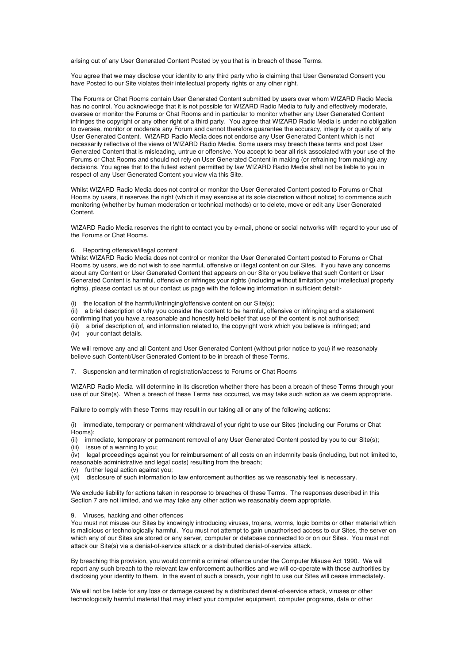arising out of any User Generated Content Posted by you that is in breach of these Terms.

You agree that we may disclose your identity to any third party who is claiming that User Generated Consent you have Posted to our Site violates their intellectual property rights or any other right.

The Forums or Chat Rooms contain User Generated Content submitted by users over whom W!ZARD Radio Media has no control. You acknowledge that it is not possible for W!ZARD Radio Media to fully and effectively moderate, oversee or monitor the Forums or Chat Rooms and in particular to monitor whether any User Generated Content infringes the copyright or any other right of a third party. You agree that W!ZARD Radio Media is under no obligation to oversee, monitor or moderate any Forum and cannot therefore guarantee the accuracy, integrity or quality of any User Generated Content. W!ZARD Radio Media does not endorse any User Generated Content which is not necessarily reflective of the views of W!ZARD Radio Media. Some users may breach these terms and post User Generated Content that is misleading, untrue or offensive. You accept to bear all risk associated with your use of the Forums or Chat Rooms and should not rely on User Generated Content in making (or refraining from making) any decisions. You agree that to the fullest extent permitted by law W!ZARD Radio Media shall not be liable to you in respect of any User Generated Content you view via this Site.

Whilst W!ZARD Radio Media does not control or monitor the User Generated Content posted to Forums or Chat Rooms by users, it reserves the right (which it may exercise at its sole discretion without notice) to commence such monitoring (whether by human moderation or technical methods) or to delete, move or edit any User Generated Content.

W!ZARD Radio Media reserves the right to contact you by e-mail, phone or social networks with regard to your use of the Forums or Chat Rooms.

### 6. Reporting offensive/illegal content

Whilst W!ZARD Radio Media does not control or monitor the User Generated Content posted to Forums or Chat Rooms by users, we do not wish to see harmful, offensive or illegal content on our Sites. If you have any concerns about any Content or User Generated Content that appears on our Site or you believe that such Content or User Generated Content is harmful, offensive or infringes your rights (including without limitation your intellectual property rights), please contact us at our contact us page with the following information in sufficient detail:-

(i) the location of the harmful/infringing/offensive content on our Site(s);

(ii) a brief description of why you consider the content to be harmful, offensive or infringing and a statement confirming that you have a reasonable and honestly held belief that use of the content is not authorised; (iii) a brief description of, and information related to, the copyright work which you believe is infringed; and (iv) your contact details.

We will remove any and all Content and User Generated Content (without prior notice to you) if we reasonably believe such Content/User Generated Content to be in breach of these Terms.

7. Suspension and termination of registration/access to Forums or Chat Rooms

W!ZARD Radio Media will determine in its discretion whether there has been a breach of these Terms through your use of our Site(s). When a breach of these Terms has occurred, we may take such action as we deem appropriate.

Failure to comply with these Terms may result in our taking all or any of the following actions:

(i) immediate, temporary or permanent withdrawal of your right to use our Sites (including our Forums or Chat Rooms);

(ii) immediate, temporary or permanent removal of any User Generated Content posted by you to our Site(s); (iii) issue of a warning to you;

(iv) legal proceedings against you for reimbursement of all costs on an indemnity basis (including, but not limited to, reasonable administrative and legal costs) resulting from the breach;

(v) further legal action against you;

(vi) disclosure of such information to law enforcement authorities as we reasonably feel is necessary.

We exclude liability for actions taken in response to breaches of these Terms. The responses described in this Section 7 are not limited, and we may take any other action we reasonably deem appropriate.

#### 9. Viruses, hacking and other offences

You must not misuse our Sites by knowingly introducing viruses, trojans, worms, logic bombs or other material which is malicious or technologically harmful. You must not attempt to gain unauthorised access to our Sites, the server on which any of our Sites are stored or any server, computer or database connected to or on our Sites. You must not attack our Site(s) via a denial-of-service attack or a distributed denial-of-service attack.

By breaching this provision, you would commit a criminal offence under the Computer Misuse Act 1990. We will report any such breach to the relevant law enforcement authorities and we will co-operate with those authorities by disclosing your identity to them. In the event of such a breach, your right to use our Sites will cease immediately.

We will not be liable for any loss or damage caused by a distributed denial-of-service attack, viruses or other technologically harmful material that may infect your computer equipment, computer programs, data or other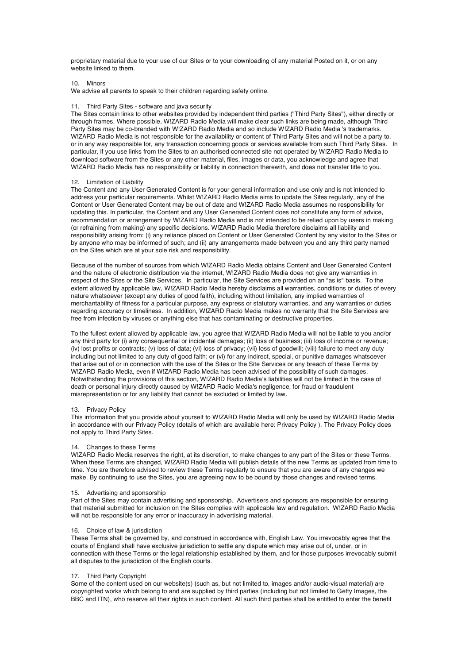proprietary material due to your use of our Sites or to your downloading of any material Posted on it, or on any website linked to them.

10. Minors

We advise all parents to speak to their children regarding safety online.

### 11. Third Party Sites - software and java security

The Sites contain links to other websites provided by independent third parties ("Third Party Sites"), either directly or through frames. Where possible, W!ZARD Radio Media will make clear such links are being made, although Third Party Sites may be co-branded with W!ZARD Radio Media and so include W!ZARD Radio Media 's trademarks. W!ZARD Radio Media is not responsible for the availability or content of Third Party Sites and will not be a party to, or in any way responsible for, any transaction concerning goods or services available from such Third Party Sites. In particular, if you use links from the Sites to an authorised connected site not operated by W!ZARD Radio Media to download software from the Sites or any other material, files, images or data, you acknowledge and agree that W!ZARD Radio Media has no responsibility or liability in connection therewith, and does not transfer title to you.

### 12. Limitation of Liability

The Content and any User Generated Content is for your general information and use only and is not intended to address your particular requirements. Whilst W!ZARD Radio Media aims to update the Sites regularly, any of the Content or User Generated Content may be out of date and W!ZARD Radio Media assumes no responsibility for updating this. In particular, the Content and any User Generated Content does not constitute any form of advice, recommendation or arrangement by W!ZARD Radio Media and is not intended to be relied upon by users in making (or refraining from making) any specific decisions. W!ZARD Radio Media therefore disclaims all liability and responsibility arising from: (i) any reliance placed on Content or User Generated Content by any visitor to the Sites or by anyone who may be informed of such; and (ii) any arrangements made between you and any third party named on the Sites which are at your sole risk and responsibility.

Because of the number of sources from which W!ZARD Radio Media obtains Content and User Generated Content and the nature of electronic distribution via the internet, W!ZARD Radio Media does not give any warranties in respect of the Sites or the Site Services. In particular, the Site Services are provided on an "as is" basis. To the extent allowed by applicable law, W!ZARD Radio Media hereby disclaims all warranties, conditions or duties of every nature whatsoever (except any duties of good faith), including without limitation, any implied warranties of merchantability of fitness for a particular purpose, any express or statutory warranties, and any warranties or duties regarding accuracy or timeliness. In addition, W!ZARD Radio Media makes no warranty that the Site Services are free from infection by viruses or anything else that has contaminating or destructive properties.

To the fullest extent allowed by applicable law, you agree that W!ZARD Radio Media will not be liable to you and/or any third party for (i) any consequential or incidental damages; (ii) loss of business; (iii) loss of income or revenue; (iv) lost profits or contracts; (v) loss of data; (vi) loss of privacy; (vii) loss of goodwill; (viii) failure to meet any duty including but not limited to any duty of good faith; or (vi) for any indirect, special, or punitive damages whatsoever that arise out of or in connection with the use of the Sites or the Site Services or any breach of these Terms by W!ZARD Radio Media, even if W!ZARD Radio Media has been advised of the possibility of such damages. Notwithstanding the provisions of this section, W!ZARD Radio Media's liabilities will not be limited in the case of death or personal injury directly caused by W!ZARD Radio Media's negligence, for fraud or fraudulent misrepresentation or for any liability that cannot be excluded or limited by law.

## 13. Privacy Policy

This information that you provide about yourself to W!ZARD Radio Media will only be used by W!ZARD Radio Media in accordance with our Privacy Policy (details of which are available here: Privacy Policy ). The Privacy Policy does not apply to Third Party Sites.

## 14. Changes to these Terms

W!ZARD Radio Media reserves the right, at its discretion, to make changes to any part of the Sites or these Terms. When these Terms are changed, W!ZARD Radio Media will publish details of the new Terms as updated from time to time. You are therefore advised to review these Terms regularly to ensure that you are aware of any changes we make. By continuing to use the Sites, you are agreeing now to be bound by those changes and revised terms.

### 15. Advertising and sponsorship

Part of the Sites may contain advertising and sponsorship. Advertisers and sponsors are responsible for ensuring that material submitted for inclusion on the Sites complies with applicable law and regulation. W!ZARD Radio Media will not be responsible for any error or inaccuracy in advertising material.

### 16. Choice of law & jurisdiction

These Terms shall be governed by, and construed in accordance with, English Law. You irrevocably agree that the courts of England shall have exclusive jurisdiction to settle any dispute which may arise out of, under, or in connection with these Terms or the legal relationship established by them, and for those purposes irrevocably submit all disputes to the jurisdiction of the English courts.

### 17. Third Party Copyright

Some of the content used on our website(s) (such as, but not limited to, images and/or audio-visual material) are copyrighted works which belong to and are supplied by third parties (including but not limited to Getty Images, the BBC and ITN), who reserve all their rights in such content. All such third parties shall be entitled to enter the benefit